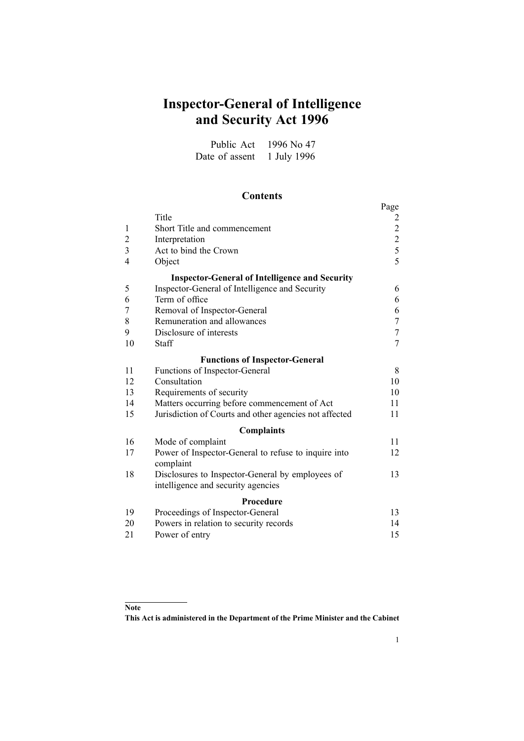# **Inspector-General of Intelligence and Security Act 1996**

Public Act 1996 No 47 Date of assent 1 July 1996

## **Contents**

|                         |                                                                   | Page                                       |
|-------------------------|-------------------------------------------------------------------|--------------------------------------------|
|                         | Title                                                             | 2                                          |
| 1                       | Short Title and commencement                                      | $\begin{array}{c} 2 \\ 2 \\ 5 \end{array}$ |
| $\overline{c}$          | Interpretation                                                    |                                            |
| $\overline{\mathbf{3}}$ | Act to bind the Crown                                             |                                            |
| $\overline{4}$          | Object                                                            | $\overline{5}$                             |
|                         | <b>Inspector-General of Intelligence and Security</b>             |                                            |
| 5                       | Inspector-General of Intelligence and Security                    | 6                                          |
| 6                       | Term of office                                                    | 6                                          |
| 7                       | Removal of Inspector-General                                      | 6                                          |
| 8                       | Remuneration and allowances                                       | $\boldsymbol{7}$                           |
| 9                       | Disclosure of interests                                           | $\overline{7}$                             |
| 10                      | Staff                                                             | $\overline{7}$                             |
|                         | <b>Functions of Inspector-General</b>                             |                                            |
| 11                      | Functions of Inspector-General                                    | 8                                          |
| 12                      | Consultation                                                      | 10                                         |
| 13                      | Requirements of security                                          | 10                                         |
| 14                      | Matters occurring before commencement of Act                      | 11                                         |
| 15                      | Jurisdiction of Courts and other agencies not affected            | 11                                         |
|                         | <b>Complaints</b>                                                 |                                            |
| 16                      | Mode of complaint                                                 | 11                                         |
| 17                      | Power of Inspector-General to refuse to inquire into<br>complaint | 12                                         |
| 18                      | Disclosures to Inspector-General by employees of                  | 13                                         |
|                         | intelligence and security agencies                                |                                            |
|                         | <b>Procedure</b>                                                  |                                            |
| 19                      | Proceedings of Inspector-General                                  | 13                                         |
| 20                      | Powers in relation to security records                            | 14                                         |
| 21                      | Power of entry                                                    | 15                                         |
|                         |                                                                   |                                            |

**Note**

**This Act is administered in the Department of the Prime Minister and the Cabinet**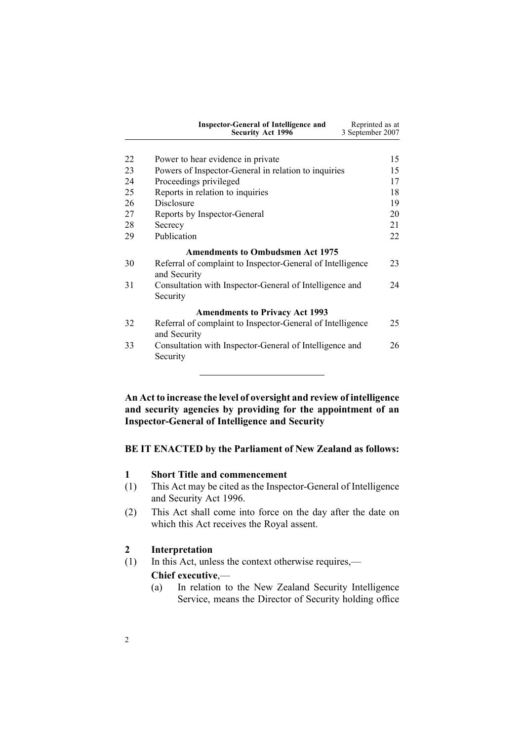<span id="page-1-0"></span>

|    | <b>Inspector-General of Intelligence and</b><br><b>Security Act 1996</b>   | Reprinted as at<br>3 September 2007 |
|----|----------------------------------------------------------------------------|-------------------------------------|
| 22 | Power to hear evidence in private                                          | 15                                  |
| 23 | Powers of Inspector-General in relation to inquiries                       | 15                                  |
| 24 | Proceedings privileged                                                     | 17                                  |
| 25 | Reports in relation to inquiries                                           | 18                                  |
| 26 | Disclosure                                                                 | 19                                  |
| 27 | Reports by Inspector-General                                               | 20                                  |
| 28 | Secrecy                                                                    | 21                                  |
| 29 | Publication                                                                | 22                                  |
|    | <b>Amendments to Ombudsmen Act 1975</b>                                    |                                     |
| 30 | Referral of complaint to Inspector-General of Intelligence<br>and Security | 23                                  |
| 31 | Consultation with Inspector-General of Intelligence and<br>Security        | 24                                  |
|    | <b>Amendments to Privacy Act 1993</b>                                      |                                     |
| 32 | Referral of complaint to Inspector-General of Intelligence<br>and Security | 25                                  |
| 33 | Consultation with Inspector-General of Intelligence and<br>Security        | 26                                  |
|    |                                                                            |                                     |

**An Act to increase the level of oversight and review of intelligence and security agencies by providing for the appointment of an InspectorGeneral of Intelligence and Security**

# **BE IT ENACTED by the Parliament of New Zealand as follows:**

#### **1 Short Title and commencement**

- $(1)$  This Act may be cited as the Inspector-General of Intelligence and Security Act 1996.
- (2) This Act shall come into force on the day after the date on which this Act receives the Royal assent.

#### **2 Interpretation**

- (1) In this Act, unless the context otherwise requires,— **Chief executive**,—
	- (a) In relation to the New Zealand Security Intelligence Service, means the Director of Security holding office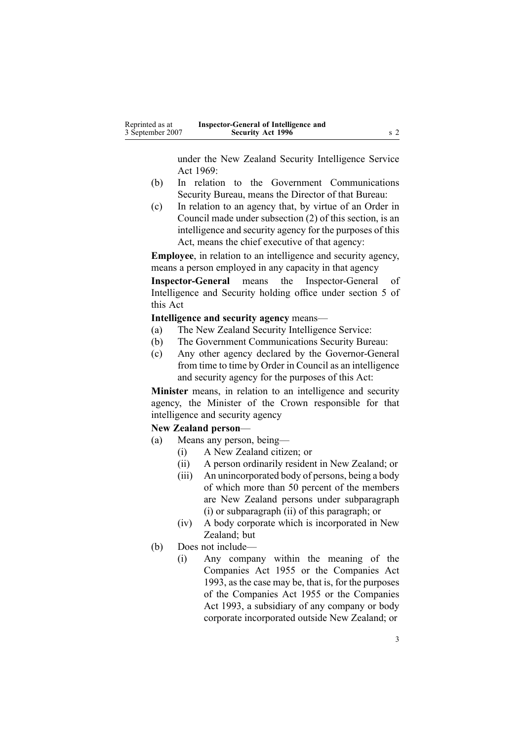under the New Zealand Security [Intelligence](http://www.legislation.govt.nz/pdfLink.aspx?id=DLM391605) Service Act  $1969$ 

- (b) In relation to the Government Communications Security Bureau, means the Director of that Bureau:
- (c) In relation to an agency that, by virtue of an Order in Council made under subsection [\(2\)](#page-1-0) of this section, is an intelligence and security agency for the purposes of this Act, means the chief executive of that agency:

**Employee**, in relation to an intelligence and security agency, means <sup>a</sup> person employed in any capacity in that agency

**Inspector-General** means the Inspector-General of Intelligence and Security holding office under section [5](#page-5-0) of this Act

#### **Intelligence and security agency** means—

- (a) The New Zealand Security Intelligence Service:
- (b) The Government Communications Security Bureau:
- (c) Any other agency declared by the Governor-General from time to time by Order in Council as an intelligence and security agency for the purposes of this Act:

**Minister** means, in relation to an intelligence and security agency, the Minister of the Crown responsible for that intelligence and security agency

# **New Zealand person**—

- (a) Means any person, being—
	- (i) A New Zealand citizen; or
	- (ii) A person ordinarily resident in New Zealand; or
	- (iii) An unincorporated body of persons, being <sup>a</sup> body of which more than 50 percen<sup>t</sup> of the members are New Zealand persons under subparagraph (i) or subparagraph (ii) of this paragraph; or
	- (iv) A body corporate which is incorporated in New Zealand; but
- (b) Does not include—
	- (i) Any company within the meaning of the Companies Act 1955 or the [Companies](http://www.legislation.govt.nz/pdfLink.aspx?id=DLM319569) Act [1993](http://www.legislation.govt.nz/pdfLink.aspx?id=DLM319569), as the case may be, that is, for the purposes of the Companies Act 1955 or the [Companies](http://www.legislation.govt.nz/pdfLink.aspx?id=DLM319569) Act [1993](http://www.legislation.govt.nz/pdfLink.aspx?id=DLM319569), <sup>a</sup> subsidiary of any company or body corporate incorporated outside New Zealand; or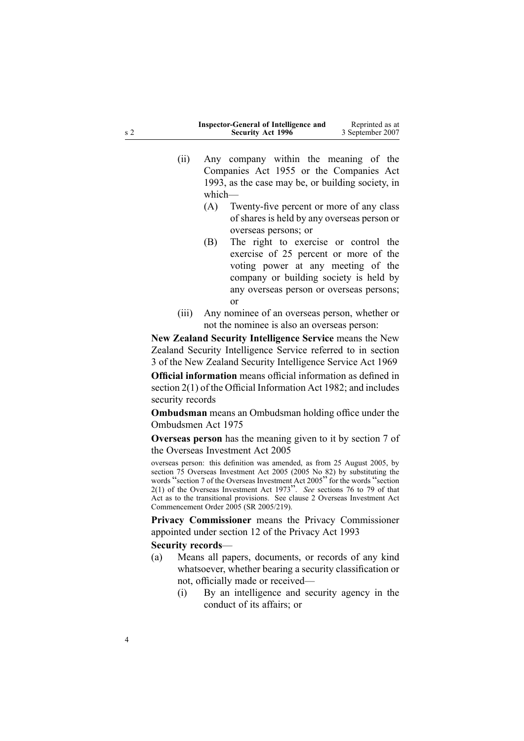<span id="page-3-0"></span>

| Inspector-General of Intelligence and | Reprinted as at  |
|---------------------------------------|------------------|
| <b>Security Act 1996</b>              | 3 September 2007 |

- (ii) Any company within the meaning of the Companies Act 1955 or the [Companies](http://www.legislation.govt.nz/pdfLink.aspx?id=DLM319569) Act [1993](http://www.legislation.govt.nz/pdfLink.aspx?id=DLM319569), as the case may be, or building society, in which—
	- $(A)$  Twenty-five percent or more of any class of shares is held by any overseas person or overseas persons; or
	- (B) The right to exercise or control the exercise of 25 percen<sup>t</sup> or more of the voting power at any meeting of the company or building society is held by any overseas person or overseas persons; or
- (iii) Any nominee of an overseas person, whether or not the nominee is also an overseas person:

**New Zealand Security Intelligence Service** means the New Zealand Security Intelligence Service referred to in section [3](http://www.legislation.govt.nz/pdfLink.aspx?id=DLM391803) of the New Zealand Security [Intelligence](http://www.legislation.govt.nz/pdfLink.aspx?id=DLM391605) Service Act 1969

**Official information** means official information as defined in section [2\(1\)](http://www.legislation.govt.nz/pdfLink.aspx?id=DLM65309) of the Official [Information](http://www.legislation.govt.nz/pdfLink.aspx?id=DLM64784) Act 1982; and includes security records

**Ombudsman** means an Ombudsman holding office under the [Ombudsmen](http://www.legislation.govt.nz/pdfLink.aspx?id=DLM430983) Act 1975

**Overseas person** has the meaning given to it by section [7](http://www.legislation.govt.nz/pdfLink.aspx?id=DLM357794) of the Overseas [Investment](http://www.legislation.govt.nz/pdfLink.aspx?id=DLM356880) Act 2005

overseas person: this definition was amended, as from 25 August 2005, by section [75](http://www.legislation.govt.nz/pdfLink.aspx?id=DLM358540) Overseas Investment Act 2005 (2005 No 82) by substituting the words "section 7 of the Overseas Investment Act 2005" for the words "section" 2(1) of the Overseas Investment Act <sup>1973</sup>". *See* sections [76](http://www.legislation.govt.nz/pdfLink.aspx?id=DLM358542) to <sup>79</sup> of that Act as to the transitional provisions. See clause [2](http://www.legislation.govt.nz/pdfLink.aspx?id=DLM341362) Overseas [Investment](http://www.legislation.govt.nz/pdfLink.aspx?id=DLM341357) Act [Commencement](http://www.legislation.govt.nz/pdfLink.aspx?id=DLM341357) Order 2005 (SR 2005/219).

**Privacy Commissioner** means the Privacy Commissioner appointed under section [12](http://www.legislation.govt.nz/pdfLink.aspx?id=DLM297053) of the [Privacy](http://www.legislation.govt.nz/pdfLink.aspx?id=DLM296638) Act 1993

#### **Security records**—

- (a) Means all papers, documents, or records of any kind whatsoever, whether bearing <sup>a</sup> security classification or not, officially made or received—
	- (i) By an intelligence and security agency in the conduct of its affairs; or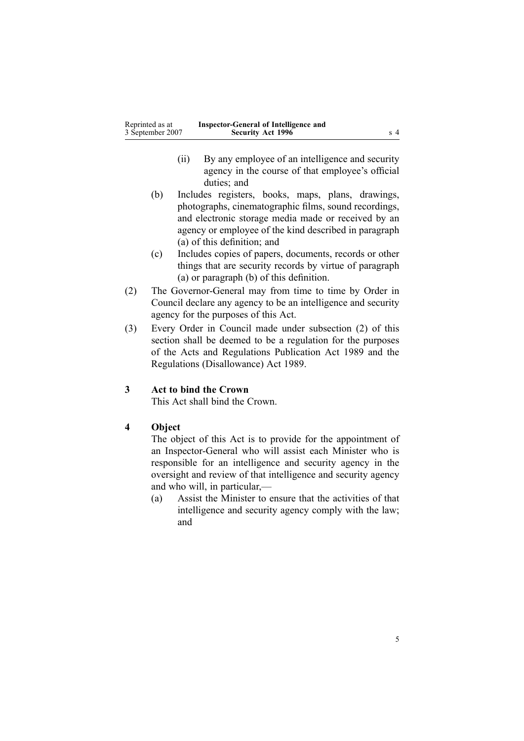<span id="page-4-0"></span>

| Reprinted as at  | Inspector-General of Intelligence and |     |
|------------------|---------------------------------------|-----|
| 3 September 2007 | <b>Security Act 1996</b>              | s 4 |

- (ii) By any employee of an intelligence and security agency in the course of that employee's official duties; and
- (b) Includes registers, books, maps, plans, drawings, photographs, cinematographic films, sound recordings, and electronic storage media made or received by an agency or employee of the kind described in paragraph [\(a\)](#page-3-0) of this definition; and
- (c) Includes copies of papers, documents, records or other things that are security records by virtue of paragraph [\(a\)](#page-3-0) or paragraph [\(b\)](#page-3-0) of this definition.
- (2) The Governor-General may from time to time by Order in Council declare any agency to be an intelligence and security agency for the purposes of this Act.
- (3) Every Order in Council made under subsection [\(2\)](#page-1-0) of this section shall be deemed to be <sup>a</sup> regulation for the purposes of the Acts and [Regulations](http://www.legislation.govt.nz/pdfLink.aspx?id=DLM195097) Publication Act 1989 and the Regulations [\(Disallowance\)](http://www.legislation.govt.nz/pdfLink.aspx?id=DLM195534) Act 1989.

# **3 Act to bind the Crown**

This Act shall bind the Crown.

# **4 Object**

The object of this Act is to provide for the appointment of an Inspector-General who will assist each Minister who is responsible for an intelligence and security agency in the oversight and review of that intelligence and security agency and who will, in particular,—

(a) Assist the Minister to ensure that the activities of that intelligence and security agency comply with the law; and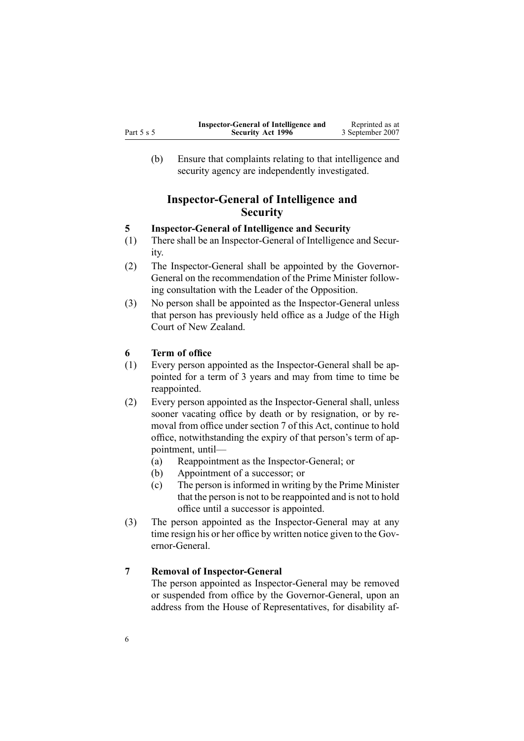<span id="page-5-0"></span>

|            | Inspector-General of Intelligence and | Reprinted as at  |
|------------|---------------------------------------|------------------|
| Part $5s5$ | <b>Security Act 1996</b>              | 3 September 2007 |

(b) Ensure that complaints relating to that intelligence and security agency are independently investigated.

# **Inspector-General of Intelligence and Security**

# **5 InspectorGeneral of Intelligence and Security**

- (1) There shall be an Inspector-General of Intelligence and Security.
- $(2)$  The Inspector-General shall be appointed by the Governor-General on the recommendation of the Prime Minister following consultation with the Leader of the Opposition.
- (3) No person shall be appointed as the Inspector-General unless that person has previously held office as <sup>a</sup> Judge of the High Court of New Zealand.

## **6 Term of office**

- $(1)$  Every person appointed as the Inspector-General shall be appointed for <sup>a</sup> term of 3 years and may from time to time be reappointed.
- $(2)$  Every person appointed as the Inspector-General shall, unless sooner vacating office by death or by resignation, or by removal from office under section 7 of this Act, continue to hold office, notwithstanding the expiry of that person's term of appointment, until—
	- (a) Reappointment as the Inspector-General; or
	- (b) Appointment of <sup>a</sup> successor; or
	- (c) The person is informed in writing by the Prime Minister that the person is not to be reappointed and is not to hold office until <sup>a</sup> successor is appointed.
- $(3)$  The person appointed as the Inspector-General may at any time resign his or her office by written notice given to the Governor-General

## **7 Removal of Inspector-General**

The person appointed as Inspector-General may be removed or suspended from office by the Governor-General, upon an address from the House of Representatives, for disability af-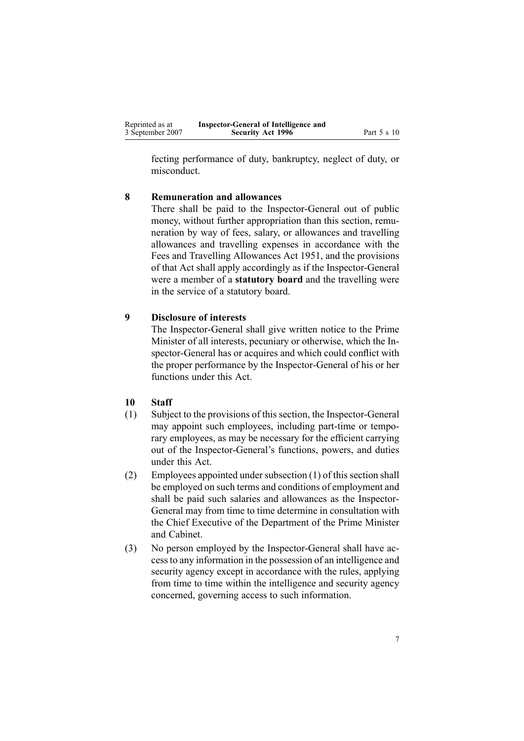<span id="page-6-0"></span>

| Reprinted as at  | Inspector-General of Intelligence and |             |
|------------------|---------------------------------------|-------------|
| 3 September 2007 | <b>Security Act 1996</b>              | Part 5 s 10 |

fecting performance of duty, bankruptcy, neglect of duty, or misconduct.

## **8 Remuneration and allowances**

There shall be paid to the Inspector-General out of public money, without further appropriation than this section, remuneration by way of fees, salary, or allowances and travelling allowances and travelling expenses in accordance with the Fees and [Travelling](http://www.legislation.govt.nz/pdfLink.aspx?id=DLM264952) Allowances Act 1951, and the provisions of that Act shall apply accordingly as if the Inspector-General were <sup>a</sup> member of <sup>a</sup> **statutory board** and the travelling were in the service of <sup>a</sup> statutory board.

## **9 Disclosure of interests**

The Inspector-General shall give written notice to the Prime Minister of all interests, pecuniary or otherwise, which the Inspector-General has or acquires and which could conflict with the proper performance by the Inspector-General of his or her functions under this Act.

## **10 Staff**

- $(1)$  Subject to the provisions of this section, the Inspector-General may appoint such employees, including part-time or temporary employees, as may be necessary for the efficient carrying out of the Inspector-General's functions, powers, and duties under this Act.
- (2) Employees appointed under subsection  $(1)$  of this section shall be employed on such terms and conditions of employment and shall be paid such salaries and allowances as the Inspector-General may from time to time determine in consultation with the Chief Executive of the Department of the Prime Minister and Cabinet.
- $(3)$  No person employed by the Inspector-General shall have accessto any information in the possession of an intelligence and security agency excep<sup>t</sup> in accordance with the rules, applying from time to time within the intelligence and security agency concerned, governing access to such information.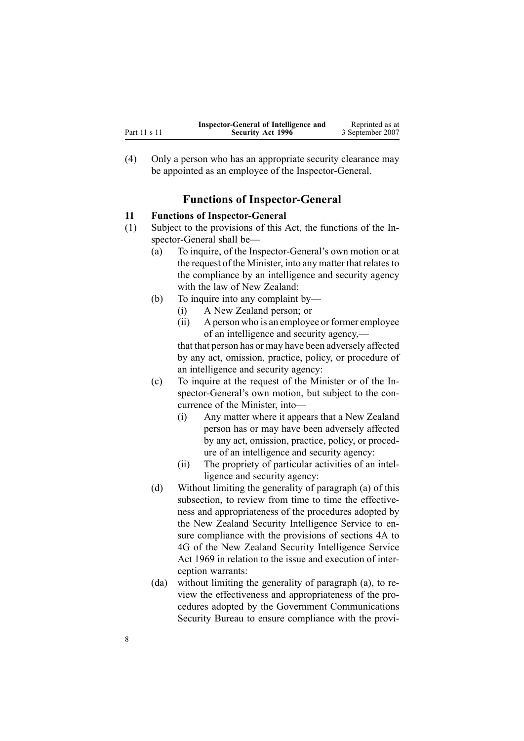<span id="page-7-0"></span>

|              | Inspector-General of Intelligence and | Reprinted as at  |
|--------------|---------------------------------------|------------------|
| Part 11 s 11 | <b>Security Act 1996</b>              | 3 September 2007 |

(4) Only <sup>a</sup> person who has an appropriate security clearance may be appointed as an employee of the Inspector-General.

# **Functions of Inspector-General**

## **11 Functions of Inspector-General**

- (1) Subject to the provisions of this Act, the functions of the Inspector-General shall be—
	- (a) To inquire, of the Inspector-General's own motion or at the request of the Minister, into any matter that relates to the compliance by an intelligence and security agency with the law of New Zealand:
	- (b) To inquire into any complaint by—
		- (i) A New Zealand person; or
		- (ii) A person who is an employee or former employee of an intelligence and security agency, that that person has or may have been adversely affected by any act, omission, practice, policy, or procedure of an intelligence and security agency:
	- (c) To inquire at the reques<sup>t</sup> of the Minister or of the Inspector-General's own motion, but subject to the concurrence of the Minister, into—
		- (i) Any matter where it appears that <sup>a</sup> New Zealand person has or may have been adversely affected by any act, omission, practice, policy, or procedure of an intelligence and security agency:
		- (ii) The propriety of particular activities of an intelligence and security agency:
	- (d) Without limiting the generality of paragraph (a) of this subsection, to review from time to time the effectiveness and appropriateness of the procedures adopted by the New Zealand Security Intelligence Service to ensure compliance with the provisions of sections [4A](http://www.legislation.govt.nz/pdfLink.aspx?id=DLM391815) [to](http://www.legislation.govt.nz/pdfLink.aspx?id=DLM391815) [4G](http://www.legislation.govt.nz/pdfLink.aspx?id=DLM391815) of the New Zealand Security [Intelligence](http://www.legislation.govt.nz/pdfLink.aspx?id=DLM391605) Service Act [1969](http://www.legislation.govt.nz/pdfLink.aspx?id=DLM391605) in relation to the issue and execution of interception warrants:
	- (da) without limiting the generality of paragraph (a), to review the effectiveness and appropriateness of the procedures adopted by the Government Communications Security Bureau to ensure compliance with the provi-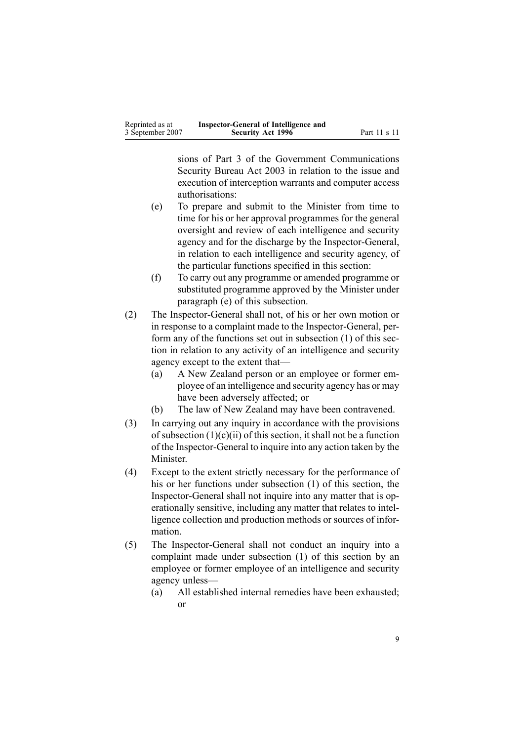| Reprinted as at  | Inspector-General of Intelligence and |              |
|------------------|---------------------------------------|--------------|
| 3 September 2007 | <b>Security Act 1996</b>              | Part 11 s 11 |

sions of Part [3](http://www.legislation.govt.nz/pdfLink.aspx?id=DLM187837) of the Government [Communications](http://www.legislation.govt.nz/pdfLink.aspx?id=DLM187177) [Security](http://www.legislation.govt.nz/pdfLink.aspx?id=DLM187177) Bureau Act 2003 in relation to the issue and execution of interception warrants and computer access authorisations:

- (e) To prepare and submit to the Minister from time to time for his or her approval programmes for the general oversight and review of each intelligence and security agency and for the discharge by the Inspector-General, in relation to each intelligence and security agency, of the particular functions specified in this section:
- (f) To carry out any programme or amended programme or substituted programme approved by the Minister under paragraph [\(e\)](#page-7-0) of this subsection.
- (2) The Inspector-General shall not, of his or her own motion or in response to a complaint made to the Inspector-General, perform any of the functions set out in subsection [\(1\)](#page-7-0) of this section in relation to any activity of an intelligence and security agency excep<sup>t</sup> to the extent that—
	- (a) A New Zealand person or an employee or former employee of an intelligence and security agency has or may have been adversely affected; or
	- (b) The law of New Zealand may have been contravened.
- (3) In carrying out any inquiry in accordance with the provisions of subsection [\(1\)\(c\)\(ii\)](#page-7-0) of this section, it shall not be <sup>a</sup> function of the Inspector-General to inquire into any action taken by the Minister.
- (4) Except to the extent strictly necessary for the performance of his or her functions under subsection [\(1\)](#page-7-0) of this section, the Inspector-General shall not inquire into any matter that is operationally sensitive, including any matter that relates to intelligence collection and production methods or sources of information.
- (5) The Inspector-General shall not conduct an inquiry into a complaint made under subsection [\(1\)](#page-7-0) of this section by an employee or former employee of an intelligence and security agency unless—
	- (a) All established internal remedies have been exhausted; or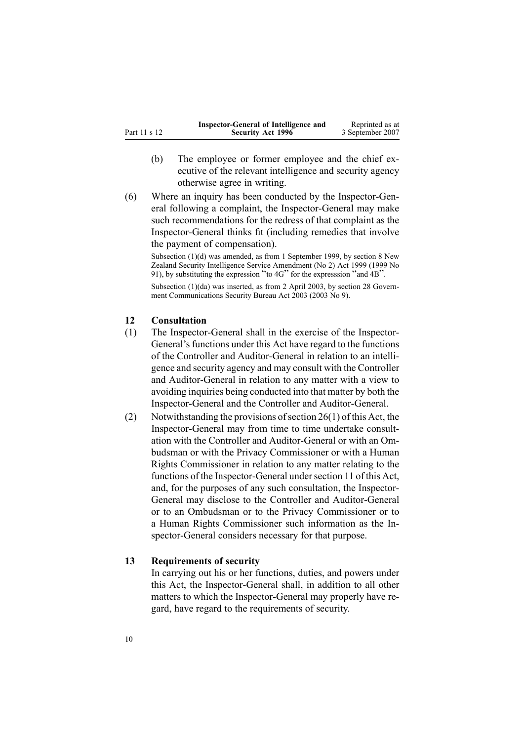<span id="page-9-0"></span>

|              | Inspector-General of Intelligence and | Reprinted as at  |
|--------------|---------------------------------------|------------------|
| Part 11 s 12 | <b>Security Act 1996</b>              | 3 September 2007 |

- (b) The employee or former employee and the chief executive of the relevant intelligence and security agency otherwise agree in writing.
- $(6)$  Where an inquiry has been conducted by the Inspector-General following a complaint, the Inspector-General may make such recommendations for the redress of that complaint as the Inspector-General thinks fit (including remedies that involve the paymen<sup>t</sup> of compensation).

Subsection (1)(d) was amended, as from 1 September 1999, by section [8](http://www.legislation.govt.nz/pdfLink.aspx?id=DLM32600) New Zealand Security Intelligence Service Amendment (No 2) Act 1999 (1999 No 91), by substituting the expression "to 4G" for the expresssion "and 4B".

Subsection (1)(da) was inserted, as from 2 April 2003, by section [28](http://www.legislation.govt.nz/pdfLink.aspx?id=DLM187859) Government Communications Security Bureau Act 2003 (2003 No 9).

#### **12 Consultation**

- $(1)$  The Inspector-General shall in the exercise of the Inspector-General's functions under this Act have regard to the functions of the Controller and Auditor-General in relation to an intelligence and security agency and may consult with the Controller and Auditor-General in relation to any matter with a view to avoiding inquiries being conducted into that matter by both the Inspector-General and the Controller and Auditor-General.
- (2) Notwithstanding the provisions of section  $26(1)$  of this Act, the Inspector-General may from time to time undertake consultation with the Controller and Auditor-General or with an Ombudsman or with the Privacy Commissioner or with <sup>a</sup> Human Rights Commissioner in relation to any matter relating to the functions of the Inspector-General under section [11](#page-7-0) of this Act, and, for the purposes of any such consultation, the Inspector-General may disclose to the Controller and Auditor-General or to an Ombudsman or to the Privacy Commissioner or to <sup>a</sup> Human Rights Commissioner such information as the Inspector-General considers necessary for that purpose.

#### **13 Requirements of security**

In carrying out his or her functions, duties, and powers under this Act, the Inspector-General shall, in addition to all other matters to which the Inspector-General may properly have regard, have regard to the requirements of security.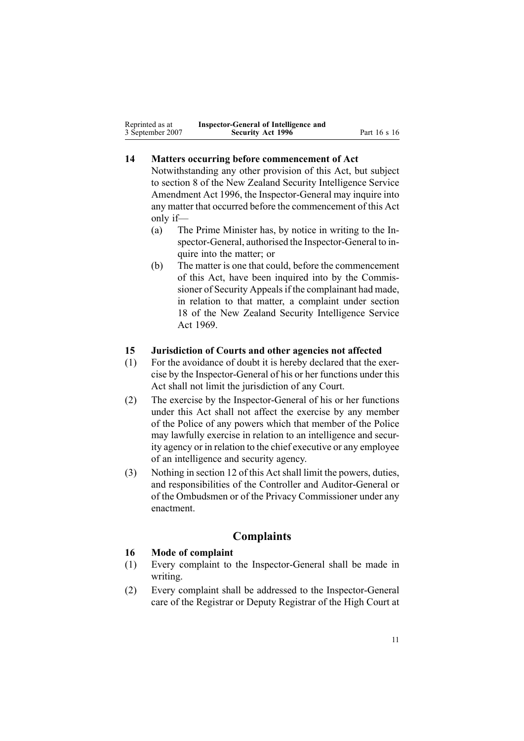<span id="page-10-0"></span>

| Reprinted as at  | Inspector-General of Intelligence and |              |
|------------------|---------------------------------------|--------------|
| 3 September 2007 | <b>Security Act 1996</b>              | Part 16 s 16 |

## **14 Matters occurring before commencement of Act**

Notwithstanding any other provision of this Act, but subject to section [8](http://www.legislation.govt.nz/pdfLink.aspx?id=DLM392574) of the New Zealand Security [Intelligence](http://www.legislation.govt.nz/pdfLink.aspx?id=DLM392560) Service [Amendment](http://www.legislation.govt.nz/pdfLink.aspx?id=DLM392560) Act 1996, the Inspector-General may inquire into any matter that occurred before the commencement of this Act only if—

- (a) The Prime Minister has, by notice in writing to the Inspector-General, authorised the Inspector-General to inquire into the matter; or
- (b) The matter is one that could, before the commencement of this Act, have been inquired into by the Commissioner of Security Appeals if the complainant had made, in relation to that matter, <sup>a</sup> complaint under section [18](http://www.legislation.govt.nz/pdfLink.aspx?id=DLM392033) of the New Zealand Security [Intelligence](http://www.legislation.govt.nz/pdfLink.aspx?id=DLM391605) Service Act [1969](http://www.legislation.govt.nz/pdfLink.aspx?id=DLM391605).

#### **15 Jurisdiction of Courts and other agencies not affected**

- (1) For the avoidance of doubt it is hereby declared that the exercise by the Inspector-General of his or her functions under this Act shall not limit the jurisdiction of any Court.
- $(2)$  The exercise by the Inspector-General of his or her functions under this Act shall not affect the exercise by any member of the Police of any powers which that member of the Police may lawfully exercise in relation to an intelligence and security agency or in relation to the chief executive or any employee of an intelligence and security agency.
- (3) Nothing in section [12](#page-9-0) of this Act shall limit the powers, duties, and responsibilities of the Controller and Auditor-General or of the Ombudsmen or of the Privacy Commissioner under any enactment.

# **Complaints**

## **16 Mode of complaint**

- (1) Every complaint to the Inspector-General shall be made in writing.
- (2) Every complaint shall be addressed to the Inspector-General care of the Registrar or Deputy Registrar of the High Court at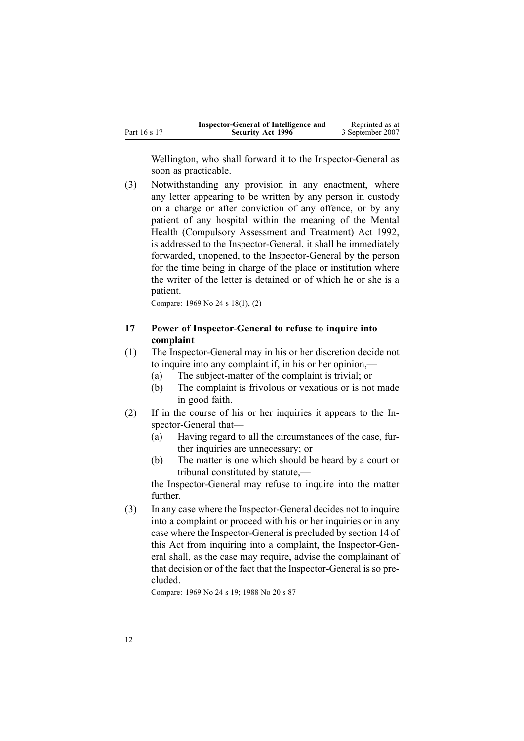<span id="page-11-0"></span>

|              | Inspector-General of Intelligence and | Reprinted as at  |
|--------------|---------------------------------------|------------------|
| Part 16 s 17 | <b>Security Act 1996</b>              | 3 September 2007 |

Wellington, who shall forward it to the Inspector-General as soon as practicable.

(3) Notwithstanding any provision in any enactment, where any letter appearing to be written by any person in custody on <sup>a</sup> charge or after conviction of any offence, or by any patient of any hospital within the meaning of the [Mental](http://www.legislation.govt.nz/pdfLink.aspx?id=DLM262706) Health [\(Compulsory](http://www.legislation.govt.nz/pdfLink.aspx?id=DLM262706) Assessment and Treatment) Act 1992, is addressed to the Inspector-General, it shall be immediately forwarded, unopened, to the Inspector-General by the person for the time being in charge of the place or institution where the writer of the letter is detained or of which he or she is <sup>a</sup> patient.

Compare: [1969](http://www.legislation.govt.nz/pdfLink.aspx?id=DLM391605) No 24 <sup>s</sup> [18\(1\)](http://www.legislation.govt.nz/pdfLink.aspx?id=DLM392033), [\(2\)](http://www.legislation.govt.nz/pdfLink.aspx?id=DLM392033)

### **17 Power of InspectorGeneral to refuse to inquire into complaint**

- (1) The Inspector-General may in his or her discretion decide not to inquire into any complaint if, in his or her opinion,—
	- (a) The subject-matter of the complaint is trivial; or
	- (b) The complaint is frivolous or vexatious or is not made in good faith.
- (2) If in the course of his or her inquiries it appears to the Inspector-General that-
	- (a) Having regard to all the circumstances of the case, further inquiries are unnecessary; or
	- (b) The matter is one which should be heard by <sup>a</sup> court or tribunal constituted by statute,—

the Inspector-General may refuse to inquire into the matter further.

(3) In any case where the Inspector-General decides not to inquire into <sup>a</sup> complaint or proceed with his or her inquiries or in any case where the Inspector-General is precluded by section [14](#page-10-0) of this Act from inquiring into a complaint, the Inspector-General shall, as the case may require, advise the complainant of that decision or of the fact that the Inspector-General is so precluded.

Compare: [1969](http://www.legislation.govt.nz/pdfLink.aspx?id=DLM391605) No 24 <sup>s</sup> [19](http://www.legislation.govt.nz/pdfLink.aspx?id=DLM392036); [1988](http://www.legislation.govt.nz/pdfLink.aspx?id=DLM129109) No 20 <sup>s</sup> [87](http://www.legislation.govt.nz/pdfLink.aspx?id=DLM130374)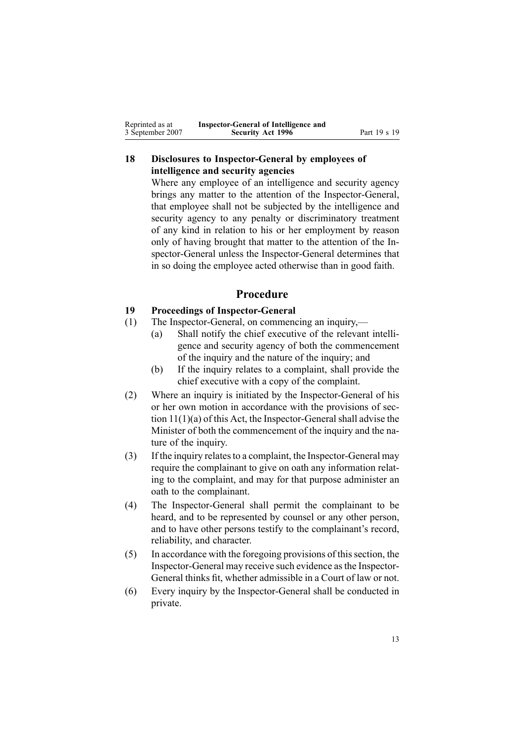<span id="page-12-0"></span>

| Reprinted as at  | Inspector-General of Intelligence and |              |
|------------------|---------------------------------------|--------------|
| 3 September 2007 | <b>Security Act 1996</b>              | Part 19 s 19 |

# 18 **Disclosures** to Inspector-General by employees of **intelligence and security agencies**

Where any employee of an intelligence and security agency brings any matter to the attention of the Inspector-General, that employee shall not be subjected by the intelligence and security agency to any penalty or discriminatory treatment of any kind in relation to his or her employment by reason only of having brought that matter to the attention of the Inspector-General unless the Inspector-General determines that in so doing the employee acted otherwise than in good faith.

## **Procedure**

# **19 Proceedings of Inspector-General**

- (1) The Inspector-General, on commencing an inquiry,—
	- (a) Shall notify the chief executive of the relevant intelligence and security agency of both the commencement of the inquiry and the nature of the inquiry; and
	- (b) If the inquiry relates to <sup>a</sup> complaint, shall provide the chief executive with <sup>a</sup> copy of the complaint.
- (2) Where an inquiry is initiated by the Inspector-General of his or her own motion in accordance with the provisions of section  $11(1)(a)$  of this Act, the Inspector-General shall advise the Minister of both the commencement of the inquiry and the nature of the inquiry.
- $(3)$  If the inquiry relates to a complaint, the Inspector-General may require the complainant to give on oath any information relating to the complaint, and may for that purpose administer an oath to the complainant.
- (4) The Inspector-General shall permit the complainant to be heard, and to be represented by counsel or any other person, and to have other persons testify to the complainant's record, reliability, and character.
- $(5)$  In accordance with the foregoing provisions of this section, the Inspector-General may receive such evidence as the Inspector-General thinks fit, whether admissible in <sup>a</sup> Court of law or not.
- $(6)$  Every inquiry by the Inspector-General shall be conducted in private.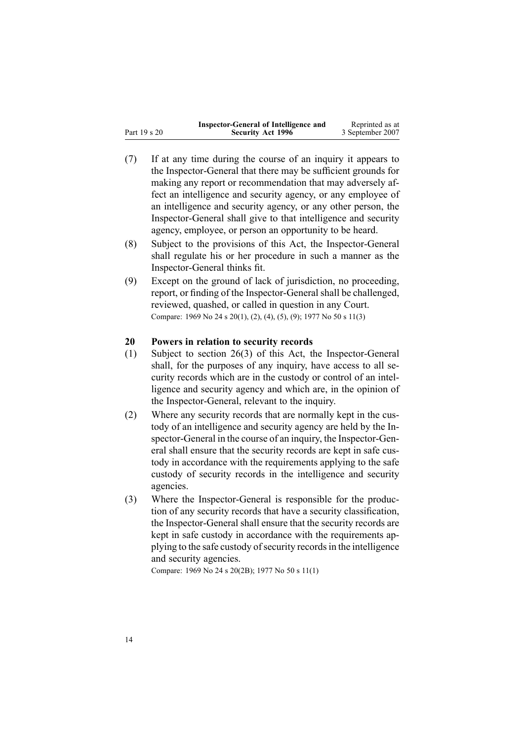<span id="page-13-0"></span>

|              | Inspector-General of Intelligence and | Reprinted as at  |
|--------------|---------------------------------------|------------------|
| Part 19 s 20 | <b>Security Act 1996</b>              | 3 September 2007 |

- (7) If at any time during the course of an inquiry it appears to the Inspector-General that there may be sufficient grounds for making any repor<sup>t</sup> or recommendation that may adversely affect an intelligence and security agency, or any employee of an intelligence and security agency, or any other person, the Inspector-General shall give to that intelligence and security agency, employee, or person an opportunity to be heard.
- (8) Subject to the provisions of this Act, the Inspector-General shall regulate his or her procedure in such <sup>a</sup> manner as the Inspector-General thinks fit.
- (9) Except on the ground of lack of jurisdiction, no proceeding, report, or finding of the Inspector-General shall be challenged, reviewed, quashed, or called in question in any Court. Compare: [1969](http://www.legislation.govt.nz/pdfLink.aspx?id=DLM391605) No 24 <sup>s</sup> [20\(1\)](http://www.legislation.govt.nz/pdfLink.aspx?id=DLM392040), [\(2\)](http://www.legislation.govt.nz/pdfLink.aspx?id=DLM392040), [\(4\)](http://www.legislation.govt.nz/pdfLink.aspx?id=DLM392040), [\(5\)](http://www.legislation.govt.nz/pdfLink.aspx?id=DLM392040), [\(9\)](http://www.legislation.govt.nz/pdfLink.aspx?id=DLM392040); 1977 No 50 <sup>s</sup> 11(3)

## **20 Powers in relation to security records**

- (1) Subject to section  $26(3)$  of this Act, the Inspector-General shall, for the purposes of any inquiry, have access to all security records which are in the custody or control of an intelligence and security agency and which are, in the opinion of the Inspector-General, relevant to the inquiry.
- (2) Where any security records that are normally kept in the custody of an intelligence and security agency are held by the Inspector-General in the course of an inquiry, the Inspector-General shall ensure that the security records are kept in safe custody in accordance with the requirements applying to the safe custody of security records in the intelligence and security agencies.
- (3) Where the Inspector-General is responsible for the production of any security records that have <sup>a</sup> security classification, the Inspector-General shall ensure that the security records are kept in safe custody in accordance with the requirements applying to the safe custody of security records in the intelligence and security agencies.

Compare: [1969](http://www.legislation.govt.nz/pdfLink.aspx?id=DLM391605) No 24 <sup>s</sup> [20\(2B\)](http://www.legislation.govt.nz/pdfLink.aspx?id=DLM392040); 1977 No 50 <sup>s</sup> 11(1)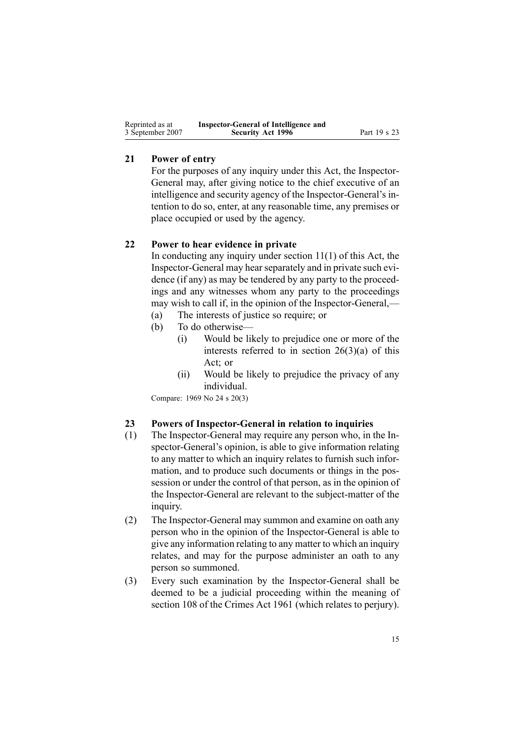<span id="page-14-0"></span>

| Reprinted as at  | Inspector-General of Intelligence and |              |
|------------------|---------------------------------------|--------------|
| 3 September 2007 | <b>Security Act 1996</b>              | Part 19 s 23 |

#### **21 Power of entry**

For the purposes of any inquiry under this Act, the Inspector-General may, after giving notice to the chief executive of an intelligence and security agency of the Inspector-General's intention to do so, enter, at any reasonable time, any premises or place occupied or used by the agency.

### **22 Power to hear evidence in private**

In conducting any inquiry under section  $11(1)$  of this Act, the Inspector-General may hear separately and in private such evidence (if any) as may be tendered by any party to the proceedings and any witnesses whom any party to the proceedings may wish to call if, in the opinion of the Inspector-General,—

- (a) The interests of justice so require; or
- (b) To do otherwise—
	- (i) Would be likely to prejudice one or more of the interests referred to in section  $26(3)(a)$  of this Act: or
	- (ii) Would be likely to prejudice the privacy of any individual.

Compare: [1969](http://www.legislation.govt.nz/pdfLink.aspx?id=DLM391605) No 24 <sup>s</sup> [20\(3\)](http://www.legislation.govt.nz/pdfLink.aspx?id=DLM392040)

#### **23 Powers of InspectorGeneral in relation to inquiries**

- $(1)$  The Inspector-General may require any person who, in the Inspector-General's opinion, is able to give information relating to any matter to which an inquiry relates to furnish such information, and to produce such documents or things in the possession or under the control of that person, as in the opinion of the Inspector-General are relevant to the subject-matter of the inquiry.
- (2) The Inspector-General may summon and examine on oath any person who in the opinion of the Inspector-General is able to give any information relating to any matter to which an inquiry relates, and may for the purpose administer an oath to any person so summoned.
- (3) Every such examination by the Inspector-General shall be deemed to be <sup>a</sup> judicial proceeding within the meaning of section [108](http://www.legislation.govt.nz/pdfLink.aspx?id=DLM328793) of the [Crimes](http://www.legislation.govt.nz/pdfLink.aspx?id=DLM327381) Act 1961 (which relates to perjury).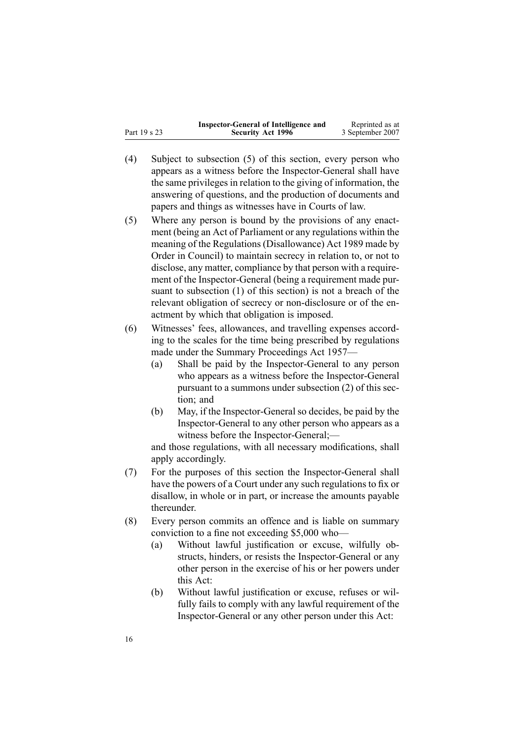|              | Inspector-General of Intelligence and | Reprinted as at  |
|--------------|---------------------------------------|------------------|
| Part 19 s 23 | <b>Security Act 1996</b>              | 3 September 2007 |

- (4) Subject to subsection [\(5\)](#page-14-0) of this section, every person who appears as a witness before the Inspector-General shall have the same privileges in relation to the giving of information, the answering of questions, and the production of documents and papers and things as witnesses have in Courts of law.
- (5) Where any person is bound by the provisions of any enactment (being an Act of Parliament or any regulations within the meaning of the Regulations [\(Disallowance\)](http://www.legislation.govt.nz/pdfLink.aspx?id=DLM195534) Act 1989 made by Order in Council) to maintain secrecy in relation to, or not to disclose, any matter, compliance by that person with <sup>a</sup> requirement of the Inspector-General (being a requirement made pursuant to subsection [\(1\)](#page-14-0) of this section) is not <sup>a</sup> breach of the relevant obligation of secrecy or non-disclosure or of the enactment by which that obligation is imposed.
- (6) Witnesses' fees, allowances, and travelling expenses according to the scales for the time being prescribed by regulations made under the Summary [Proceedings](http://www.legislation.govt.nz/pdfLink.aspx?id=DLM310742) Act 1957—
	- (a) Shall be paid by the Inspector-General to any person who appears as a witness before the Inspector-General pursuan<sup>t</sup> to <sup>a</sup> summons under subsection [\(2\)](#page-14-0) of this section; and
	- $(b)$  May, if the Inspector-General so decides, be paid by the Inspector-General to any other person who appears as a witness before the Inspector-General;—

and those regulations, with all necessary modifications, shall apply accordingly.

- (7) For the purposes of this section the Inspector-General shall have the powers of <sup>a</sup> Court under any such regulations to fix or disallow, in whole or in part, or increase the amounts payable thereunder.
- (8) Every person commits an offence and is liable on summary conviction to <sup>a</sup> fine not exceeding \$5,000 who—
	- (a) Without lawful justification or excuse, wilfully obstructs, hinders, or resists the Inspector-General or any other person in the exercise of his or her powers under this Act:
	- (b) Without lawful justification or excuse, refuses or wilfully fails to comply with any lawful requirement of the Inspector-General or any other person under this Act: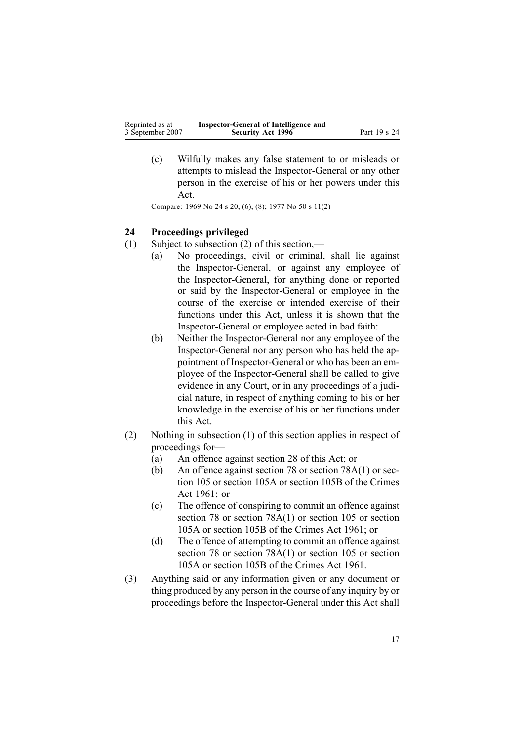<span id="page-16-0"></span>

| Reprinted as at  | Inspector-General of Intelligence and |              |
|------------------|---------------------------------------|--------------|
| 3 September 2007 | <b>Security Act 1996</b>              | Part 19 s 24 |

(c) Wilfully makes any false statement to or misleads or attempts to mislead the Inspector-General or any other person in the exercise of his or her powers under this Act.

Compare: [1969](http://www.legislation.govt.nz/pdfLink.aspx?id=DLM391605) No 24 <sup>s</sup> [20](http://www.legislation.govt.nz/pdfLink.aspx?id=DLM392040), [\(6\)](http://www.legislation.govt.nz/pdfLink.aspx?id=DLM392040), [\(8\)](http://www.legislation.govt.nz/pdfLink.aspx?id=DLM392040); 1977 No 50 <sup>s</sup> 11(2)

## **24 Proceedings privileged**

- (1) Subject to subsection (2) of this section,—
	- (a) No proceedings, civil or criminal, shall lie against the Inspector-General, or against any employee of the Inspector-General, for anything done or reported or said by the Inspector-General or employee in the course of the exercise or intended exercise of their functions under this Act, unless it is shown that the Inspector-General or employee acted in bad faith:
	- (b) Neither the Inspector-General nor any employee of the Inspector-General nor any person who has held the appointment of Inspector-General or who has been an employee of the Inspector-General shall be called to give evidence in any Court, or in any proceedings of <sup>a</sup> judicial nature, in respec<sup>t</sup> of anything coming to his or her knowledge in the exercise of his or her functions under this Act.
- (2) Nothing in subsection (1) of this section applies in respec<sup>t</sup> of proceedings for—
	- (a) An offence against section [28](#page-20-0) of this Act; or
	- (b) An offence against section [78](http://www.legislation.govt.nz/pdfLink.aspx?id=DLM328526) or section [78A\(1\)](http://www.legislation.govt.nz/pdfLink.aspx?id=DLM328528) or section [105](http://www.legislation.govt.nz/pdfLink.aspx?id=DLM328753) or section [105A](http://www.legislation.govt.nz/pdfLink.aspx?id=DLM328755) or section [105B](http://www.legislation.govt.nz/pdfLink.aspx?id=DLM328758) of the [Crimes](http://www.legislation.govt.nz/pdfLink.aspx?id=DLM327381) Act [1961](http://www.legislation.govt.nz/pdfLink.aspx?id=DLM327381); or
	- (c) The offence of conspiring to commit an offence against section [78](http://www.legislation.govt.nz/pdfLink.aspx?id=DLM328526) or section [78A\(1\)](http://www.legislation.govt.nz/pdfLink.aspx?id=DLM328528) or section [105](http://www.legislation.govt.nz/pdfLink.aspx?id=DLM328753) or section [105A](http://www.legislation.govt.nz/pdfLink.aspx?id=DLM328755) or section [105B](http://www.legislation.govt.nz/pdfLink.aspx?id=DLM328758) of the [Crimes](http://www.legislation.govt.nz/pdfLink.aspx?id=DLM327381) Act 1961; or
	- (d) The offence of attempting to commit an offence against section [78](http://www.legislation.govt.nz/pdfLink.aspx?id=DLM328526) or section [78A\(1\)](http://www.legislation.govt.nz/pdfLink.aspx?id=DLM328528) or section [105](http://www.legislation.govt.nz/pdfLink.aspx?id=DLM328753) or section [105A](http://www.legislation.govt.nz/pdfLink.aspx?id=DLM328755) or section [105B](http://www.legislation.govt.nz/pdfLink.aspx?id=DLM328758) of the [Crimes](http://www.legislation.govt.nz/pdfLink.aspx?id=DLM327381) Act 1961.
- (3) Anything said or any information given or any document or thing produced by any person in the course of any inquiry by or proceedings before the Inspector-General under this Act shall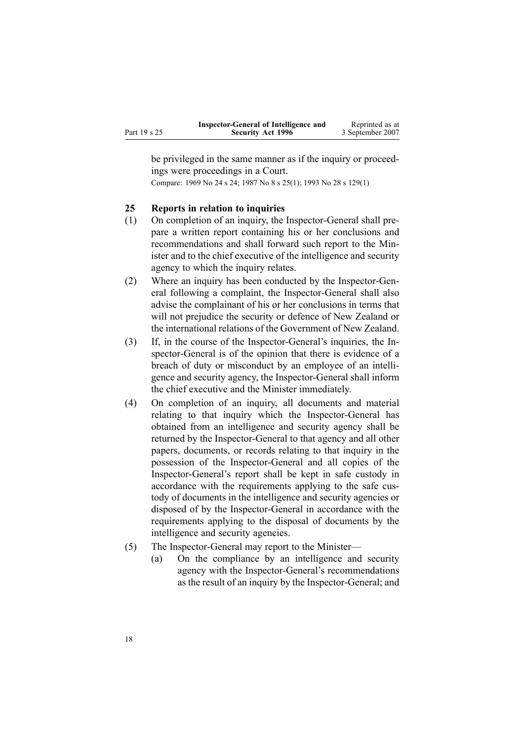<span id="page-17-0"></span>

|              | Inspector-General of Intelligence and | Reprinted as at  |
|--------------|---------------------------------------|------------------|
| Part 19 s 25 | <b>Security Act 1996</b>              | 3 September 2007 |

be privileged in the same manner as if the inquiry or proceedings were proceedings in <sup>a</sup> Court.

Compare: [1969](http://www.legislation.govt.nz/pdfLink.aspx?id=DLM391605) No 24 <sup>s</sup> [24](http://www.legislation.govt.nz/pdfLink.aspx?id=DLM392056); [1987](http://www.legislation.govt.nz/pdfLink.aspx?id=DLM101320) No 8 <sup>s</sup> [25\(1\)](http://www.legislation.govt.nz/pdfLink.aspx?id=DLM101353); [1993](http://www.legislation.govt.nz/pdfLink.aspx?id=DLM296638) No 28 <sup>s</sup> [129\(1\)](http://www.legislation.govt.nz/pdfLink.aspx?id=DLM298439)

## **25 Reports in relation to inquiries**

- $(1)$  On completion of an inquiry, the Inspector-General shall prepare <sup>a</sup> written repor<sup>t</sup> containing his or her conclusions and recommendations and shall forward such repor<sup>t</sup> to the Minister and to the chief executive of the intelligence and security agency to which the inquiry relates.
- $(2)$  Where an inquiry has been conducted by the Inspector-General following a complaint, the Inspector-General shall also advise the complainant of his or her conclusions in terms that will not prejudice the security or defence of New Zealand or the international relations of the Government of New Zealand.
- $(3)$  If, in the course of the Inspector-General's inquiries, the Inspector-General is of the opinion that there is evidence of a breach of duty or misconduct by an employee of an intelligence and security agency, the Inspector-General shall inform the chief executive and the Minister immediately.
- (4) On completion of an inquiry, all documents and material relating to that inquiry which the Inspector-General has obtained from an intelligence and security agency shall be returned by the Inspector-General to that agency and all other papers, documents, or records relating to that inquiry in the possession of the Inspector-General and all copies of the Inspector-General's report shall be kept in safe custody in accordance with the requirements applying to the safe custody of documents in the intelligence and security agencies or disposed of by the Inspector-General in accordance with the requirements applying to the disposal of documents by the intelligence and security agencies.
- $(5)$  The Inspector-General may report to the Minister—
	- (a) On the compliance by an intelligence and security agency with the Inspector-General's recommendations as the result of an inquiry by the Inspector-General; and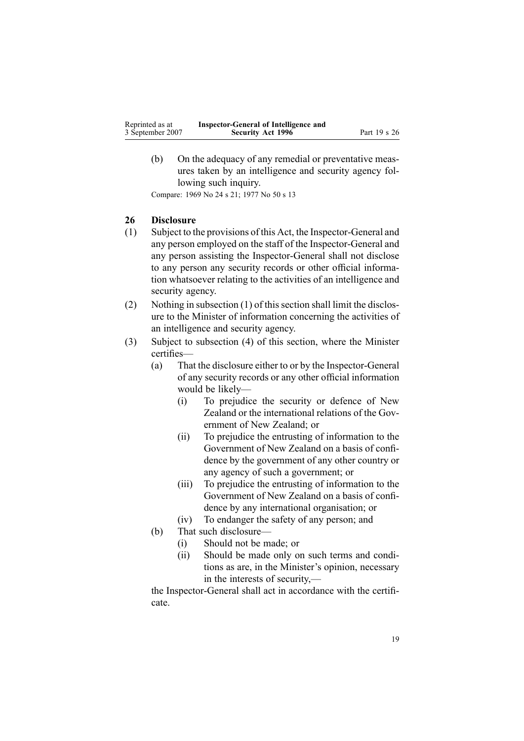<span id="page-18-0"></span>

| Reprinted as at  | Inspector-General of Intelligence and |              |
|------------------|---------------------------------------|--------------|
| 3 September 2007 | <b>Security Act 1996</b>              | Part 19 s 26 |

(b) On the adequacy of any remedial or preventative measures taken by an intelligence and security agency following such inquiry.

Compare: [1969](http://www.legislation.govt.nz/pdfLink.aspx?id=DLM391605) No 24 <sup>s</sup> [21](http://www.legislation.govt.nz/pdfLink.aspx?id=DLM392048); 1977 No 50 <sup>s</sup> 13

#### **26 Disclosure**

- $(1)$  Subject to the provisions of this Act, the Inspector-General and any person employed on the staff of the Inspector-General and any person assisting the Inspector-General shall not disclose to any person any security records or other official information whatsoever relating to the activities of an intelligence and security agency.
- (2) Nothing in subsection  $(1)$  of this section shall limit the disclosure to the Minister of information concerning the activities of an intelligence and security agency.
- (3) Subject to subsection (4) of this section, where the Minister certifies—
	- (a) That the disclosure either to or by the Inspector-General of any security records or any other official information would be likely—
		- (i) To prejudice the security or defence of New Zealand or the international relations of the Government of New Zealand; or
		- (ii) To prejudice the entrusting of information to the Government of New Zealand on <sup>a</sup> basis of confidence by the governmen<sup>t</sup> of any other country or any agency of such <sup>a</sup> government; or
		- (iii) To prejudice the entrusting of information to the Government of New Zealand on <sup>a</sup> basis of confidence by any international organisation; or
		- (iv) To endanger the safety of any person; and
	- (b) That such disclosure—
		- (i) Should not be made; or
		- (ii) Should be made only on such terms and conditions as are, in the Minister's opinion, necessary in the interests of security,—

the Inspector-General shall act in accordance with the certificate.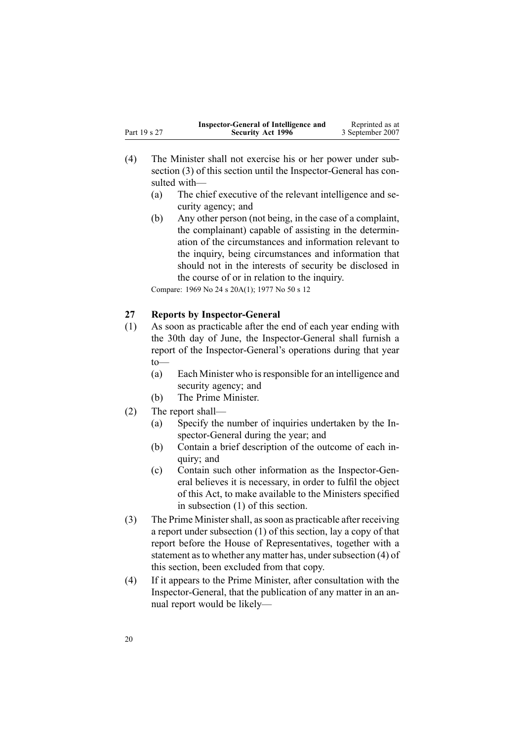<span id="page-19-0"></span>

|              | Inspector-General of Intelligence and | Reprinted as at  |
|--------------|---------------------------------------|------------------|
| Part 19 s 27 | <b>Security Act 1996</b>              | 3 September 2007 |

- (4) The Minister shall not exercise his or her power under sub-section [\(3\)](#page-18-0) of this section until the Inspector-General has consulted with—
	- (a) The chief executive of the relevant intelligence and security agency; and
	- (b) Any other person (not being, in the case of <sup>a</sup> complaint, the complainant) capable of assisting in the determination of the circumstances and information relevant to the inquiry, being circumstances and information that should not in the interests of security be disclosed in the course of or in relation to the inquiry.

Compare: [1969](http://www.legislation.govt.nz/pdfLink.aspx?id=DLM391605) No 24 <sup>s</sup> [20A\(1\)](http://www.legislation.govt.nz/pdfLink.aspx?id=DLM392045); 1977 No 50 <sup>s</sup> 12

## 27 **Reports** by Inspector-General

- (1) As soon as practicable after the end of each year ending with the 30th day of June, the Inspector-General shall furnish a report of the Inspector-General's operations during that year to—
	- (a) Each Minister who isresponsible for an intelligence and security agency; and
	- (b) The Prime Minister.
- (2) The repor<sup>t</sup> shall—
	- (a) Specify the number of inquiries undertaken by the Inspector-General during the year; and
	- (b) Contain <sup>a</sup> brief description of the outcome of each inquiry; and
	- (c) Contain such other information as the Inspector-General believes it is necessary, in order to fulfil the object of this Act, to make available to the Ministers specified in subsection (1) of this section.
- (3) The Prime Ministershall, assoon as practicable after receiving <sup>a</sup> repor<sup>t</sup> under subsection (1) of this section, lay <sup>a</sup> copy of that repor<sup>t</sup> before the House of Representatives, together with <sup>a</sup> statement as to whether any matter has, under subsection (4) of this section, been excluded from that copy.
- (4) If it appears to the Prime Minister, after consultation with the Inspector-General, that the publication of any matter in an annual repor<sup>t</sup> would be likely—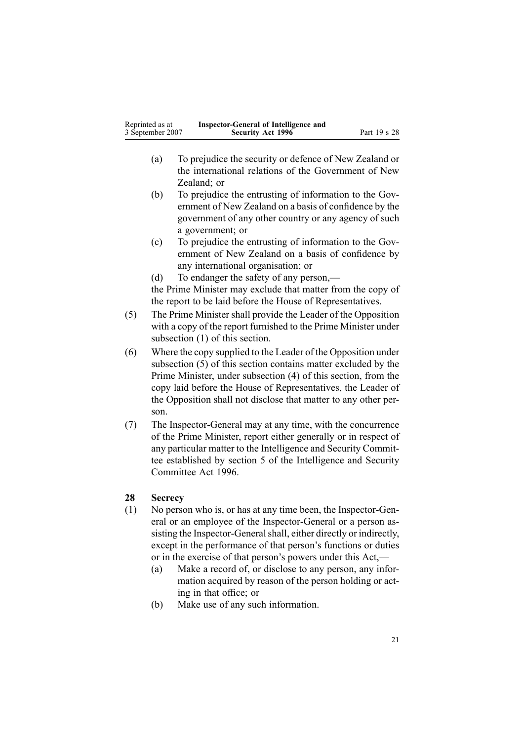<span id="page-20-0"></span>

| Reprinted as at  | Inspector-General of Intelligence and |              |
|------------------|---------------------------------------|--------------|
| 3 September 2007 | <b>Security Act 1996</b>              | Part 19 s 28 |

- (a) To prejudice the security or defence of New Zealand or the international relations of the Government of New Zealand; or
- (b) To prejudice the entrusting of information to the Government of New Zealand on <sup>a</sup> basis of confidence by the governmen<sup>t</sup> of any other country or any agency of such <sup>a</sup> government; or
- (c) To prejudice the entrusting of information to the Government of New Zealand on <sup>a</sup> basis of confidence by any international organisation; or
- (d) To endanger the safety of any person,—

the Prime Minister may exclude that matter from the copy of the repor<sup>t</sup> to be laid before the House of Representatives.

- (5) The Prime Minister shall provide the Leader of the Opposition with <sup>a</sup> copy of the repor<sup>t</sup> furnished to the Prime Minister under subsection [\(1\)](#page-19-0) of this section.
- (6) Where the copy supplied to the Leader of the Opposition under subsection [\(5\)](#page-19-0) of this section contains matter excluded by the Prime Minister, under subsection [\(4\)](#page-19-0) of this section, from the copy laid before the House of Representatives, the Leader of the Opposition shall not disclose that matter to any other person.
- (7) The Inspector-General may at any time, with the concurrence of the Prime Minister, repor<sup>t</sup> either generally or in respec<sup>t</sup> of any particular matter to the Intelligence and Security Committee established by section [5](http://www.legislation.govt.nz/pdfLink.aspx?id=DLM392266) of the [Intelligence](http://www.legislation.govt.nz/pdfLink.aspx?id=DLM392241) and Security [Committee](http://www.legislation.govt.nz/pdfLink.aspx?id=DLM392241) Act 1996.

# **28 Secrecy**

- $(1)$  No person who is, or has at any time been, the Inspector-General or an employee of the Inspector-General or a person assisting the Inspector-General shall, either directly or indirectly, excep<sup>t</sup> in the performance of that person's functions or duties or in the exercise of that person's powers under this Act,—
	- (a) Make <sup>a</sup> record of, or disclose to any person, any information acquired by reason of the person holding or acting in that office; or
	- (b) Make use of any such information.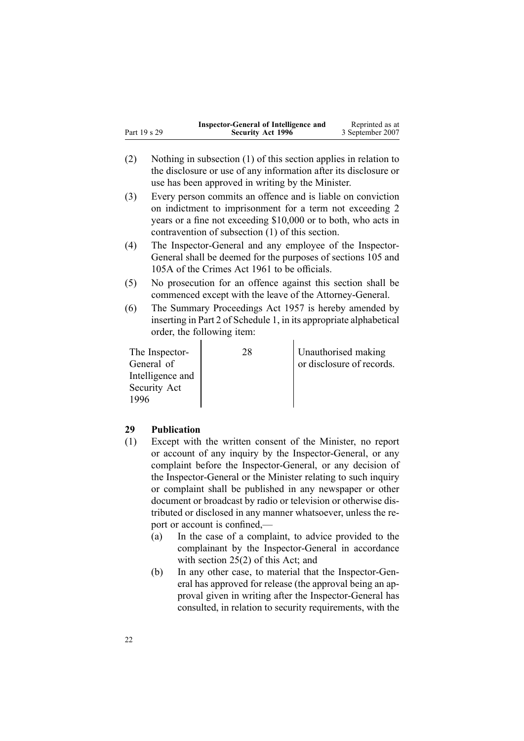<span id="page-21-0"></span>

|              | Inspector-General of Intelligence and | Reprinted as at  |
|--------------|---------------------------------------|------------------|
| Part 19 s 29 | <b>Security Act 1996</b>              | 3 September 2007 |

- (2) Nothing in subsection [\(1\)](#page-20-0) of this section applies in relation to the disclosure or use of any information after its disclosure or use has been approved in writing by the Minister.
- (3) Every person commits an offence and is liable on conviction on indictment to imprisonment for <sup>a</sup> term not exceeding 2 years or <sup>a</sup> fine not exceeding \$10,000 or to both, who acts in contravention of subsection [\(1\)](#page-20-0) of this section.
- (4) The Inspector-General and any employee of the Inspector-General shall be deemed for the purposes of sections [105](http://www.legislation.govt.nz/pdfLink.aspx?id=DLM328753) and [105A](http://www.legislation.govt.nz/pdfLink.aspx?id=DLM328755) of the [Crimes](http://www.legislation.govt.nz/pdfLink.aspx?id=DLM327381) Act 1961 to be officials.
- (5) No prosecution for an offence against this section shall be commenced except with the leave of the Attorney-General.
- (6) The Summary [Proceedings](http://www.legislation.govt.nz/pdfLink.aspx?id=DLM310742) Act 1957 is hereby amended by inserting in Part [2](http://www.legislation.govt.nz/pdfLink.aspx?id=DLM311185) of Schedule 1, in its appropriate alphabetical order, the following item:

The Inspector-General of Intelligence and Security Act 1996

28 Unauthorised making or disclosure of records.

## **29 Publication**

- (1) Except with the written consent of the Minister, no repor<sup>t</sup> or account of any inquiry by the Inspector-General, or any complaint before the Inspector-General, or any decision of the Inspector-General or the Minister relating to such inquiry or complaint shall be published in any newspaper or other document or broadcast by radio or television or otherwise distributed or disclosed in any manner whatsoever, unless the repor<sup>t</sup> or account is confined,—
	- (a) In the case of <sup>a</sup> complaint, to advice provided to the complainant by the Inspector-General in accordance with section [25\(2\)](#page-17-0) of this Act; and
	- (b) In any other case, to material that the Inspector-General has approved for release (the approval being an approval given in writing after the Inspector-General has consulted, in relation to security requirements, with the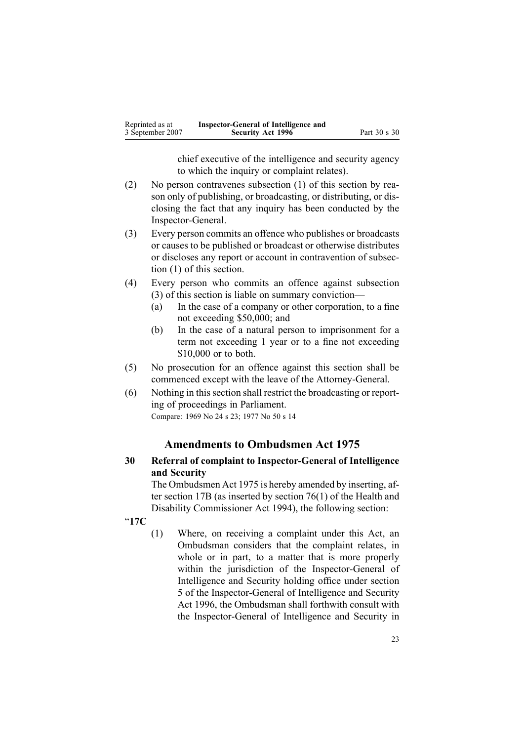<span id="page-22-0"></span>

| Reprinted as at  | Inspector-General of Intelligence and |              |
|------------------|---------------------------------------|--------------|
| 3 September 2007 | <b>Security Act 1996</b>              | Part 30 s 30 |

chief executive of the intelligence and security agency to which the inquiry or complaint relates).

- (2) No person contravenes subsection [\(1\)](#page-21-0) of this section by reason only of publishing, or broadcasting, or distributing, or disclosing the fact that any inquiry has been conducted by the Inspector-General.
- (3) Every person commits an offence who publishes or broadcasts or causes to be published or broadcast or otherwise distributes or discloses any repor<sup>t</sup> or account in contravention of subsection [\(1\)](#page-21-0) of this section.
- (4) Every person who commits an offence against subsection [\(3\)](#page-21-0) of this section is liable on summary conviction—
	- (a) In the case of <sup>a</sup> company or other corporation, to <sup>a</sup> fine not exceeding \$50,000; and
	- (b) In the case of <sup>a</sup> natural person to imprisonment for <sup>a</sup> term not exceeding 1 year or to <sup>a</sup> fine not exceeding \$10,000 or to both.
- (5) No prosecution for an offence against this section shall be commenced except with the leave of the Attorney-General.

(6) Nothing in thissection shall restrict the broadcasting or reporting of proceedings in Parliament. Compare: [1969](http://www.legislation.govt.nz/pdfLink.aspx?id=DLM391605) No 24 <sup>s</sup> [23](http://www.legislation.govt.nz/pdfLink.aspx?id=DLM392053); 1977 No 50 <sup>s</sup> 14

# **Amendments to [Ombudsmen](http://www.legislation.govt.nz/pdfLink.aspx?id=DLM430983) Act 1975**

## **30 Referral of complaint to InspectorGeneral of Intelligence and Security**

The [Ombudsmen](http://www.legislation.govt.nz/pdfLink.aspx?id=DLM430983) Act 1975 is hereby amended by inserting, after section [17B](http://www.legislation.govt.nz/pdfLink.aspx?id=DLM431140) (as inserted by section [76\(1\)](http://www.legislation.govt.nz/pdfLink.aspx?id=DLM334174) of the [Health](http://www.legislation.govt.nz/pdfLink.aspx?id=DLM333583) and Disability [Commissioner](http://www.legislation.govt.nz/pdfLink.aspx?id=DLM333583) Act 1994), the following section:

"**17C**

(1) Where, on receiving <sup>a</sup> complaint under this Act, an Ombudsman considers that the complaint relates, in whole or in part, to <sup>a</sup> matter that is more properly within the jurisdiction of the Inspector-General of Intelligence and Security holding office under section 5 of the Inspector-General of Intelligence and Security Act 1996, the Ombudsman shall forthwith consult with the Inspector-General of Intelligence and Security in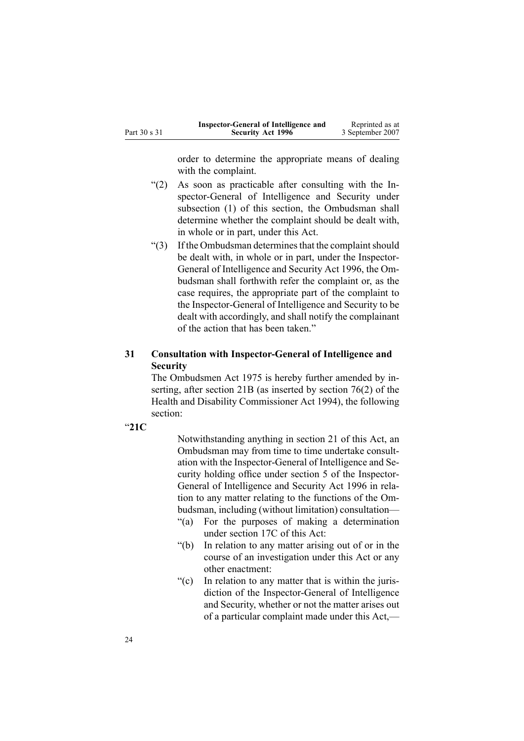<span id="page-23-0"></span>

|              | Inspector-General of Intelligence and | Reprinted as at  |
|--------------|---------------------------------------|------------------|
| Part 30 s 31 | <b>Security Act 1996</b>              | 3 September 2007 |

order to determine the appropriate means of dealing with the complaint.

- "(2) As soon as practicable after consulting with the Inspector-General of Intelligence and Security under subsection (1) of this section, the Ombudsman shall determine whether the complaint should be dealt with, in whole or in part, under this Act.
- "(3) If the Ombudsman determines that the complaint should be dealt with, in whole or in part, under the Inspector-General of Intelligence and Security Act 1996, the Ombudsman shall forthwith refer the complaint or, as the case requires, the appropriate par<sup>t</sup> of the complaint to the Inspector-General of Intelligence and Security to be dealt with accordingly, and shall notify the complainant of the action that has been taken."

## **31 Consultation with InspectorGeneral of Intelligence and Security**

The [Ombudsmen](http://www.legislation.govt.nz/pdfLink.aspx?id=DLM430983) Act 1975 is hereby further amended by inserting, after section [21B](http://www.legislation.govt.nz/pdfLink.aspx?id=DLM431162) (as inserted by section [76\(2\)](http://www.legislation.govt.nz/pdfLink.aspx?id=DLM334174) of the Health and Disability [Commissioner](http://www.legislation.govt.nz/pdfLink.aspx?id=DLM333583) Act 1994), the following section:

#### "**21C**

Notwithstanding anything in section 21 of this Act, an Ombudsman may from time to time undertake consultation with the Inspector-General of Intelligence and Security holding office under section 5 of the Inspector-General of Intelligence and Security Act 1996 in relation to any matter relating to the functions of the Ombudsman, including (without limitation) consultation—

- "(a) For the purposes of making <sup>a</sup> determination under section 17C of this Act:
- "(b) In relation to any matter arising out of or in the course of an investigation under this Act or any other enactment:
- "(c) In relation to any matter that is within the jurisdiction of the Inspector-General of Intelligence and Security, whether or not the matter arises out of <sup>a</sup> particular complaint made under this Act,—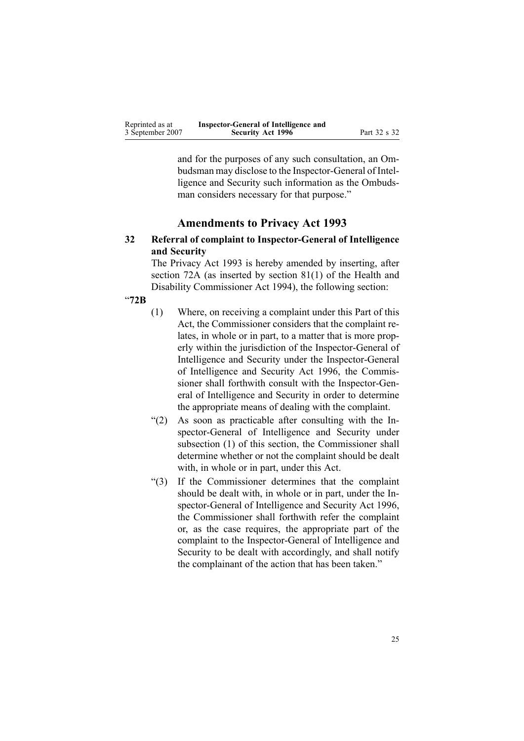<span id="page-24-0"></span>

| Reprinted as at  | Inspector-General of Intelligence and |              |
|------------------|---------------------------------------|--------------|
| 3 September 2007 | <b>Security Act 1996</b>              | Part 32 s 32 |

and for the purposes of any such consultation, an Ombudsman may disclose to the Inspector-General of Intelligence and Security such information as the Ombudsman considers necessary for that purpose."

## **Amendments to [Privacy](http://www.legislation.govt.nz/pdfLink.aspx?id=DLM296638) Act 1993**

## **32 Referral of complaint to InspectorGeneral of Intelligence and Security**

The [Privacy](http://www.legislation.govt.nz/pdfLink.aspx?id=DLM296638) Act 1993 is hereby amended by inserting, after section [72A](http://www.legislation.govt.nz/pdfLink.aspx?id=DLM297450) (as inserted by section [81\(1\)](http://www.legislation.govt.nz/pdfLink.aspx?id=DLM334184) of the [Health](http://www.legislation.govt.nz/pdfLink.aspx?id=DLM333583) and Disability [Commissioner](http://www.legislation.govt.nz/pdfLink.aspx?id=DLM333583) Act 1994), the following section:

"**72B**

- (1) Where, on receiving <sup>a</sup> complaint under this Part of this Act, the Commissioner considers that the complaint relates, in whole or in part, to <sup>a</sup> matter that is more properly within the jurisdiction of the Inspector-General of Intelligence and Security under the Inspector-General of Intelligence and Security Act 1996, the Commissioner shall forthwith consult with the Inspector-General of Intelligence and Security in order to determine the appropriate means of dealing with the complaint.
- "(2) As soon as practicable after consulting with the Inspector-General of Intelligence and Security under subsection (1) of this section, the Commissioner shall determine whether or not the complaint should be dealt with, in whole or in part, under this Act.
- "(3) If the Commissioner determines that the complaint should be dealt with, in whole or in part, under the Inspector-General of Intelligence and Security Act 1996, the Commissioner shall forthwith refer the complaint or, as the case requires, the appropriate par<sup>t</sup> of the complaint to the Inspector-General of Intelligence and Security to be dealt with accordingly, and shall notify the complainant of the action that has been taken."